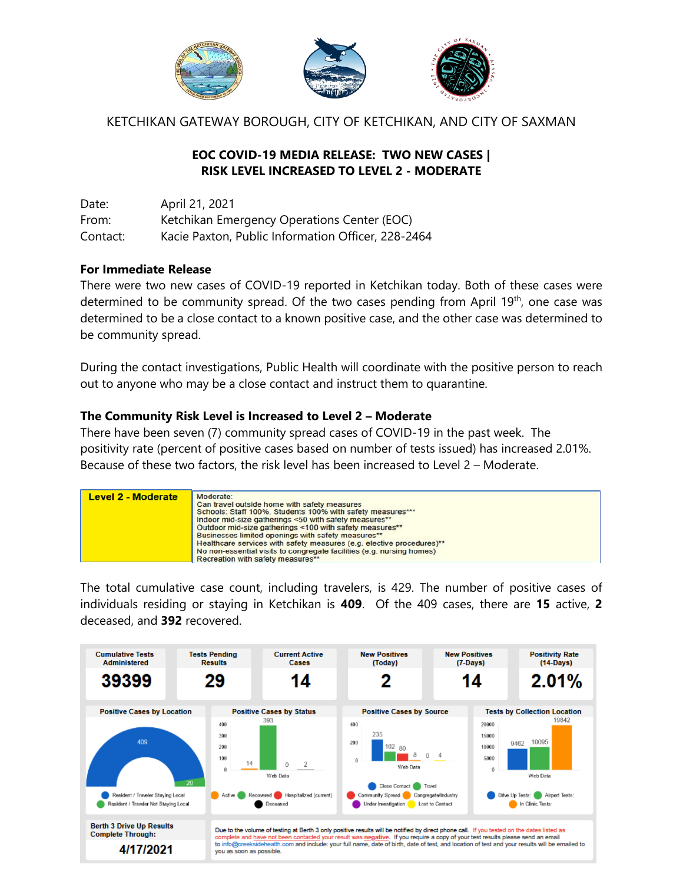

KETCHIKAN GATEWAY BOROUGH, CITY OF KETCHIKAN, AND CITY OF SAXMAN

### **EOC COVID-19 MEDIA RELEASE: TWO NEW CASES | RISK LEVEL INCREASED TO LEVEL 2 - MODERATE**

Date: April 21, 2021 From: Ketchikan Emergency Operations Center (EOC) Contact: Kacie Paxton, Public Information Officer, 228-2464

#### **For Immediate Release**

There were two new cases of COVID-19 reported in Ketchikan today. Both of these cases were determined to be community spread. Of the two cases pending from April 19<sup>th</sup>, one case was determined to be a close contact to a known positive case, and the other case was determined to be community spread.

During the contact investigations, Public Health will coordinate with the positive person to reach out to anyone who may be a close contact and instruct them to quarantine.

#### **The Community Risk Level is Increased to Level 2 – Moderate**

There have been seven (7) community spread cases of COVID-19 in the past week. The positivity rate (percent of positive cases based on number of tests issued) has increased 2.01%. Because of these two factors, the risk level has been increased to Level 2 – Moderate.



The total cumulative case count, including travelers, is 429. The number of positive cases of individuals residing or staying in Ketchikan is **409**. Of the 409 cases, there are **15** active, **2** deceased, and **392** recovered.

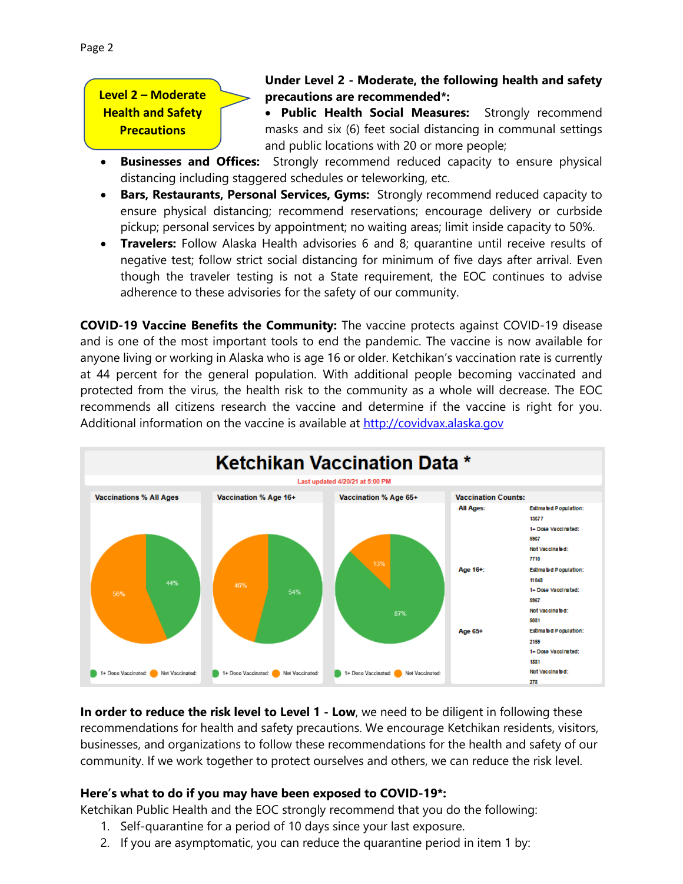## **Under Level 2 - Moderate, the following health and safety precautions are recommended\*:**

 **Public Health Social Measures:** Strongly recommend masks and six (6) feet social distancing in communal settings and public locations with 20 or more people;

- **Businesses and Offices:** Strongly recommend reduced capacity to ensure physical distancing including staggered schedules or teleworking, etc.
- **Bars, Restaurants, Personal Services, Gyms:** Strongly recommend reduced capacity to ensure physical distancing; recommend reservations; encourage delivery or curbside pickup; personal services by appointment; no waiting areas; limit inside capacity to 50%.
- **Travelers:** Follow Alaska Health advisories 6 and 8; quarantine until receive results of negative test; follow strict social distancing for minimum of five days after arrival. Even though the traveler testing is not a State requirement, the EOC continues to advise adherence to these advisories for the safety of our community.

**COVID-19 Vaccine Benefits the Community:** The vaccine protects against COVID-19 disease and is one of the most important tools to end the pandemic. The vaccine is now available for anyone living or working in Alaska who is age 16 or older. Ketchikan's vaccination rate is currently at 44 percent for the general population. With additional people becoming vaccinated and protected from the virus, the health risk to the community as a whole will decrease. The EOC recommends all citizens research the vaccine and determine if the vaccine is right for you. Additional information on the vaccine is available at [http://covidvax.alaska.gov](http://covidvax.alaska.gov/)



**In order to reduce the risk level to Level 1 - Low**, we need to be diligent in following these recommendations for health and safety precautions. We encourage Ketchikan residents, visitors, businesses, and organizations to follow these recommendations for the health and safety of our community. If we work together to protect ourselves and others, we can reduce the risk level.

## **Here's what to do if you may have been exposed to COVID-19\*:**

Ketchikan Public Health and the EOC strongly recommend that you do the following:

- 1. Self-quarantine for a period of 10 days since your last exposure.
- 2. If you are asymptomatic, you can reduce the quarantine period in item 1 by: